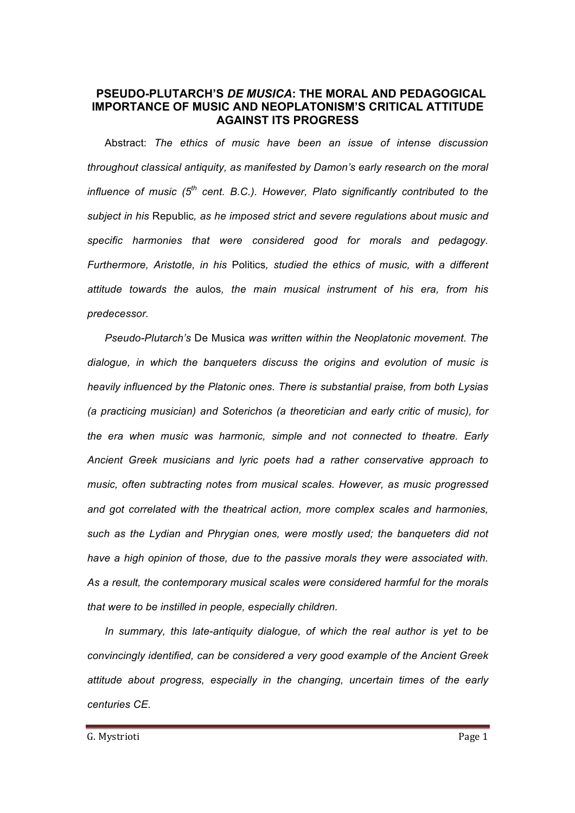# **PSEUDO-PLUTARCH'S** *DE MUSICA***: THE MORAL AND PEDAGOGICAL IMPORTANCE OF MUSIC AND NEOPLATONISM'S CRITICAL ATTITUDE AGAINST ITS PROGRESS**

Abstract: *The ethics of music have been an issue of intense discussion throughout classical antiquity, as manifested by Damon's early research on the moral influence of music (5th cent. B.C.). However, Plato significantly contributed to the subject in his* Republic*, as he imposed strict and severe regulations about music and specific harmonies that were considered good for morals and pedagogy. Furthermore, Aristotle, in his* Politics*, studied the ethics of music, with a different attitude towards the* aulos*, the main musical instrument of his era, from his predecessor.*

*Pseudo-Plutarch's* De Musica *was written within the Neoplatonic movement. The dialogue, in which the banqueters discuss the origins and evolution of music is heavily influenced by the Platonic ones. There is substantial praise, from both Lysias (a practicing musician) and Soterichos (a theoretician and early critic of music), for the era when music was harmonic, simple and not connected to theatre. Early Ancient Greek musicians and lyric poets had a rather conservative approach to music, often subtracting notes from musical scales. However, as music progressed and got correlated with the theatrical action, more complex scales and harmonies, such as the Lydian and Phrygian ones, were mostly used; the banqueters did not have a high opinion of those, due to the passive morals they were associated with. As a result, the contemporary musical scales were considered harmful for the morals that were to be instilled in people, especially children.*

*In summary, this late-antiquity dialogue, of which the real author is yet to be convincingly identified, can be considered a very good example of the Ancient Greek attitude about progress, especially in the changing, uncertain times of the early centuries CE.*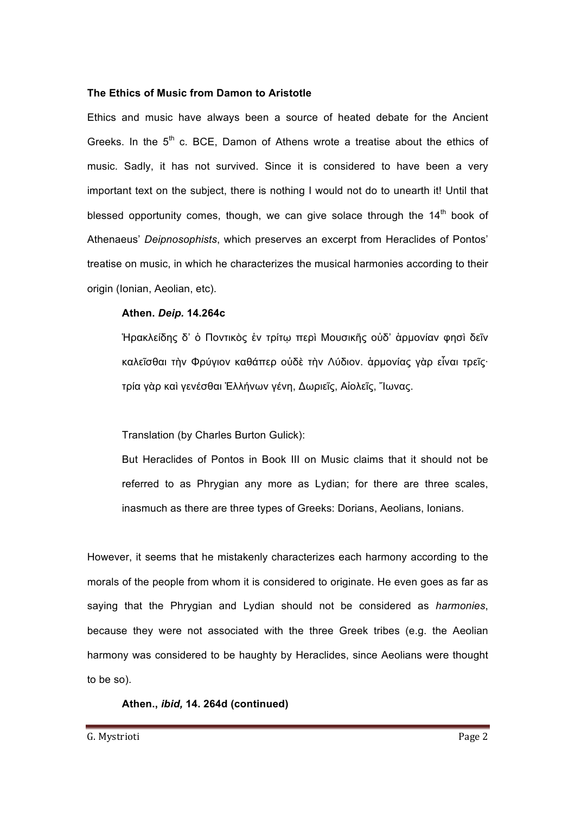#### **The Ethics of Music from Damon to Aristotle**

Ethics and music have always been a source of heated debate for the Ancient Greeks. In the  $5<sup>th</sup>$  c. BCE, Damon of Athens wrote a treatise about the ethics of music. Sadly, it has not survived. Since it is considered to have been a very important text on the subject, there is nothing I would not do to unearth it! Until that blessed opportunity comes, though, we can give solace through the  $14<sup>th</sup>$  book of Athenaeus' *Deipnosophists*, which preserves an excerpt from Heraclides of Pontos' treatise on music, in which he characterizes the musical harmonies according to their origin (Ionian, Aeolian, etc).

#### **Athen.** *Deip.* **14.264c**

Ἡρακλείδης δ' ὁ Ποντικὸς ἐν τρίτῳ περὶ Μουσικῆς οὐδ' ἁρµονίαν φησὶ δεῖν καλεῖσθαι τὴν Φρύγιον καθάπερ οὐδὲ τὴν Λύδιον. ἁρµονίας γὰρ εἶναι τρεῖς· τρία γὰρ καὶ γενέσθαι Ἑλλήνων γένη, Δωριεῖς, Αἰολεῖς, Ἴωνας.

Translation (by Charles Burton Gulick):

But Heraclides of Pontos in Book III on Music claims that it should not be referred to as Phrygian any more as Lydian; for there are three scales, inasmuch as there are three types of Greeks: Dorians, Aeolians, Ionians.

However, it seems that he mistakenly characterizes each harmony according to the morals of the people from whom it is considered to originate. He even goes as far as saying that the Phrygian and Lydian should not be considered as *harmonies*, because they were not associated with the three Greek tribes (e.g. the Aeolian harmony was considered to be haughty by Heraclides, since Aeolians were thought to be so).

#### **Athen.,** *ibid,* **14. 264d (continued)**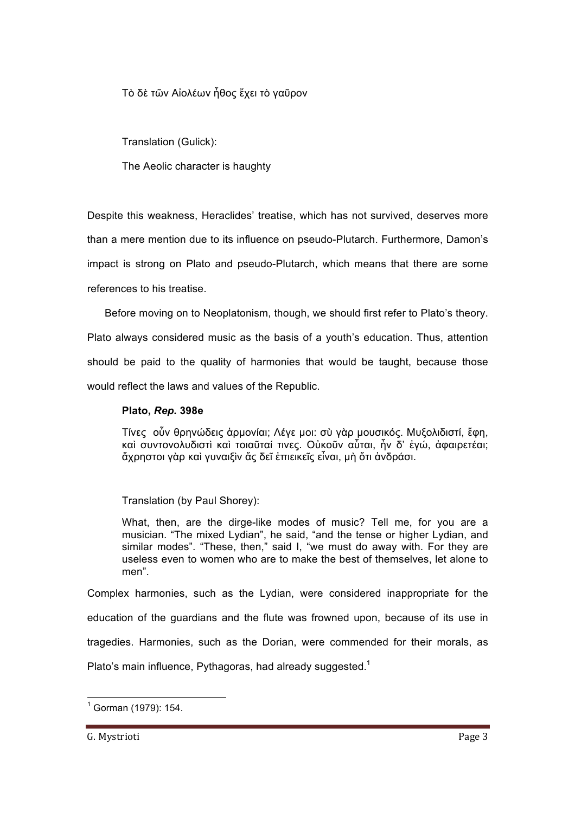Τὸ δὲ τῶν Αἰολέων ἦθος ἔχει τὸ γαῦρον

Translation (Gulick):

The Aeolic character is haughty

Despite this weakness, Heraclides' treatise, which has not survived, deserves more

than a mere mention due to its influence on pseudo-Plutarch. Furthermore, Damon's

impact is strong on Plato and pseudo-Plutarch, which means that there are some

references to his treatise.

Before moving on to Neoplatonism, though, we should first refer to Plato's theory.

Plato always considered music as the basis of a youth's education. Thus, attention should be paid to the quality of harmonies that would be taught, because those would reflect the laws and values of the Republic.

### **Plato,** *Rep.* **398e**

Τίνες οὖν θρηνώδεις ἁρµονίαι; Λέγε µοι: σὺ γὰρ µουσικός. Μυξολιδιστί, ἔφη, καὶ συντονολυδιστὶ καὶ τοιαῦταί τινες. Οὐκοῦν αὗται, ἦν δ' ἐγώ, ἀφαιρετέαι; ἄχρηστοι γὰρ καὶ γυναιξὶν ἅς δεῖ ἐπιεικεῖς εἶναι, µὴ ὅτι ἀνδράσι.

Translation (by Paul Shorey):

What, then, are the dirge-like modes of music? Tell me, for you are a musician. "The mixed Lydian", he said, "and the tense or higher Lydian, and similar modes". "These, then," said I, "we must do away with. For they are useless even to women who are to make the best of themselves, let alone to men".

Complex harmonies, such as the Lydian, were considered inappropriate for the education of the guardians and the flute was frowned upon, because of its use in tragedies. Harmonies, such as the Dorian, were commended for their morals, as Plato's main influence, Pythagoras, had already suggested.<sup>1</sup>

 $<sup>1</sup>$  Gorman (1979): 154.</sup>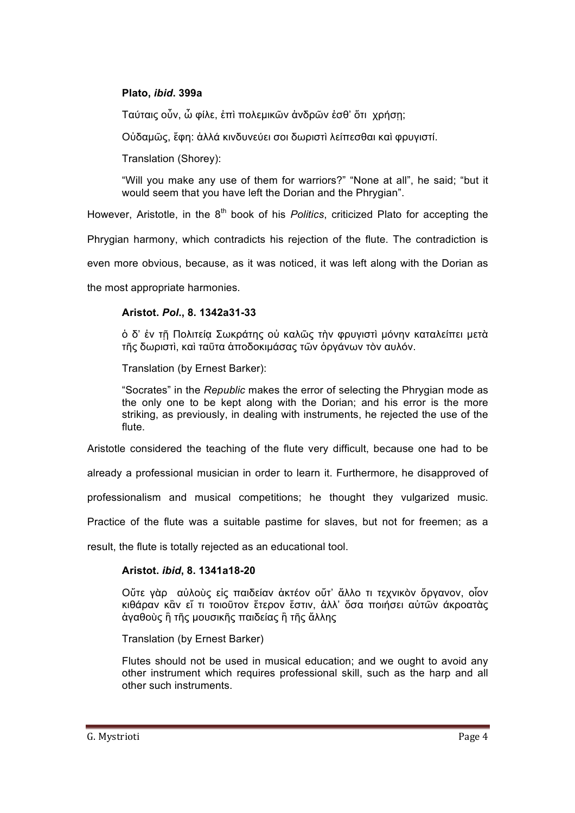### **Plato,** *ibid***. 399a**

Ταύταις οὖν, ὦ φίλε, ἐπὶ πολεµικῶν ἀνδρῶν ἐσθ' ὅτι χρήσῃ;

Οὐδαµῶς, ἔφη: ἀλλά κινδυνεύει σοι δωριστὶ λείπεσθαι καὶ φρυγιστί.

Translation (Shorey):

"Will you make any use of them for warriors?" "None at all", he said; "but it would seem that you have left the Dorian and the Phrygian".

However, Aristotle, in the 8<sup>th</sup> book of his *Politics*, criticized Plato for accepting the

Phrygian harmony, which contradicts his rejection of the flute. The contradiction is

even more obvious, because, as it was noticed, it was left along with the Dorian as

the most appropriate harmonies.

#### **Aristot.** *Pol***., 8. 1342a31-33**

ὁ δ' ἐν τῇ Πολιτείᾳ Σωκράτης οὐ καλῶς τὴν φρυγιστὶ µόνην καταλείπει µετὰ τῆς δωριστὶ, καὶ ταῦτα ἀποδοκιµάσας τῶν ὀργάνων τὸν αυλόν.

Translation (by Ernest Barker):

"Socrates" in the *Republic* makes the error of selecting the Phrygian mode as the only one to be kept along with the Dorian; and his error is the more striking, as previously, in dealing with instruments, he rejected the use of the flute.

Aristotle considered the teaching of the flute very difficult, because one had to be

already a professional musician in order to learn it. Furthermore, he disapproved of

professionalism and musical competitions; he thought they vulgarized music.

Practice of the flute was a suitable pastime for slaves, but not for freemen; as a

result, the flute is totally rejected as an educational tool.

#### **Aristot.** *ibid***, 8. 1341a18-20**

Οὔτε γὰρ αὐλοὺς εἰς παιδείαν ἀκτέον οὔτ' ἄλλο τι τεχνικὸν ὄργανον, οἷον κιθάραν κἂν εἴ τι τοιοῦτον ἕτερον ἔστιν, ἀλλ' ὅσα ποιήσει αὐτῶν άκροατὰς ἀγαθοὺς ἢ τῆς µουσικῆς παιδείας ἢ τῆς ἄλλης

Translation (by Ernest Barker)

Flutes should not be used in musical education; and we ought to avoid any other instrument which requires professional skill, such as the harp and all other such instruments.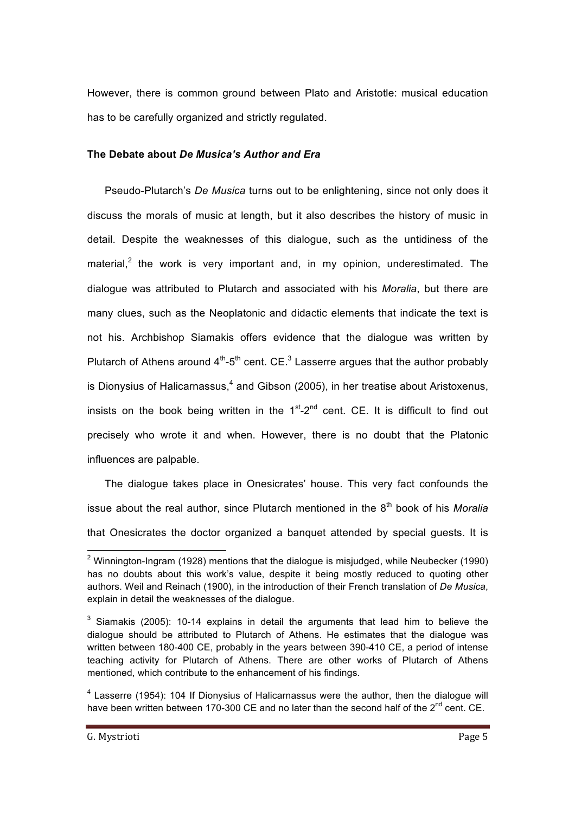However, there is common ground between Plato and Aristotle: musical education has to be carefully organized and strictly regulated.

### **The Debate about** *De Musica's Author and Era*

Pseudo-Plutarch's *De Musica* turns out to be enlightening, since not only does it discuss the morals of music at length, but it also describes the history of music in detail. Despite the weaknesses of this dialogue, such as the untidiness of the material, $<sup>2</sup>$  the work is very important and, in my opinion, underestimated. The</sup> dialogue was attributed to Plutarch and associated with his *Moralia*, but there are many clues, such as the Neoplatonic and didactic elements that indicate the text is not his. Archbishop Siamakis offers evidence that the dialogue was written by Plutarch of Athens around  $4<sup>th</sup>-5<sup>th</sup>$  cent. CE.<sup>3</sup> Lasserre argues that the author probably is Dionysius of Halicarnassus, $4$  and Gibson (2005), in her treatise about Aristoxenus, insists on the book being written in the  $1<sup>st</sup> - 2<sup>nd</sup>$  cent. CE. It is difficult to find out precisely who wrote it and when. However, there is no doubt that the Platonic influences are palpable.

The dialogue takes place in Onesicrates' house. This very fact confounds the issue about the real author, since Plutarch mentioned in the 8<sup>th</sup> book of his *Moralia* that Onesicrates the doctor organized a banquet attended by special guests. It is

 $2$  Winnington-Ingram (1928) mentions that the dialogue is misjudged, while Neubecker (1990) has no doubts about this work's value, despite it being mostly reduced to quoting other authors. Weil and Reinach (1900), in the introduction of their French translation of *De Musica*, explain in detail the weaknesses of the dialogue.

<sup>&</sup>lt;sup>3</sup> Siamakis (2005): 10-14 explains in detail the arguments that lead him to believe the dialogue should be attributed to Plutarch of Athens. He estimates that the dialogue was written between 180-400 CE, probably in the years between 390-410 CE, a period of intense teaching activity for Plutarch of Athens. There are other works of Plutarch of Athens mentioned, which contribute to the enhancement of his findings.

<sup>&</sup>lt;sup>4</sup> Lasserre (1954): 104 If Dionysius of Halicarnassus were the author, then the dialogue will have been written between 170-300 CE and no later than the second half of the  $2^{nd}$  cent. CE.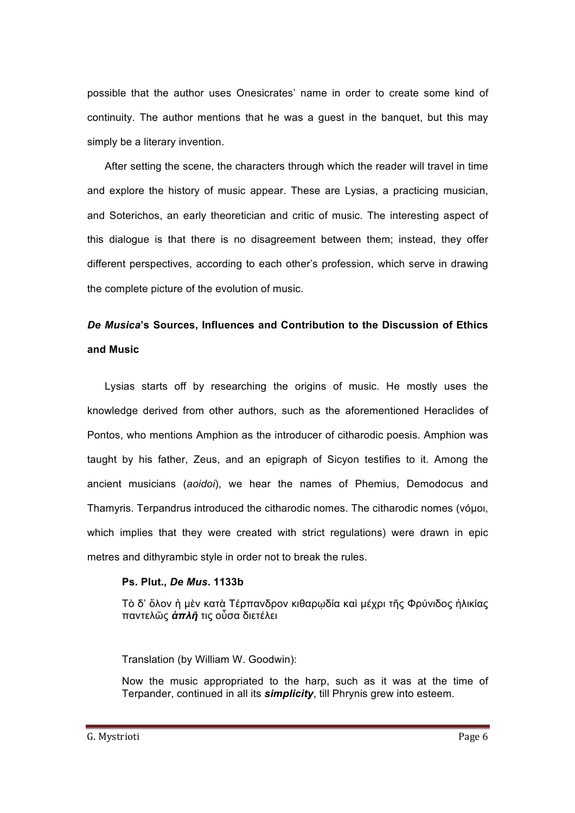possible that the author uses Onesicrates' name in order to create some kind of continuity. The author mentions that he was a guest in the banquet, but this may simply be a literary invention.

After setting the scene, the characters through which the reader will travel in time and explore the history of music appear. These are Lysias, a practicing musician, and Soterichos, an early theoretician and critic of music. The interesting aspect of this dialogue is that there is no disagreement between them; instead, they offer different perspectives, according to each other's profession, which serve in drawing the complete picture of the evolution of music.

# *De Musica***'s Sources, Influences and Contribution to the Discussion of Ethics and Music**

Lysias starts off by researching the origins of music. He mostly uses the knowledge derived from other authors, such as the aforementioned Heraclides of Pontos, who mentions Amphion as the introducer of citharodic poesis. Amphion was taught by his father, Zeus, and an epigraph of Sicyon testifies to it. Among the ancient musicians (*aoidoi*), we hear the names of Phemius, Demodocus and Thamyris. Terpandrus introduced the citharodic nomes. The citharodic nomes (νόµοι, which implies that they were created with strict regulations) were drawn in epic metres and dithyrambic style in order not to break the rules.

#### **Ps. Plut.,** *De Mus***. 1133b**

Τὸ δ' ὅλον ἡ µὲν κατὰ Τέρπανδρον κιθαρῳδία καὶ µέχρι τῆς Φρύνιδος ἡλικίας παντελῶς *ἁπλῆ* τις οὗσα διετέλει

Translation (by William W. Goodwin):

Now the music appropriated to the harp, such as it was at the time of Terpander, continued in all its *simplicity*, till Phrynis grew into esteem.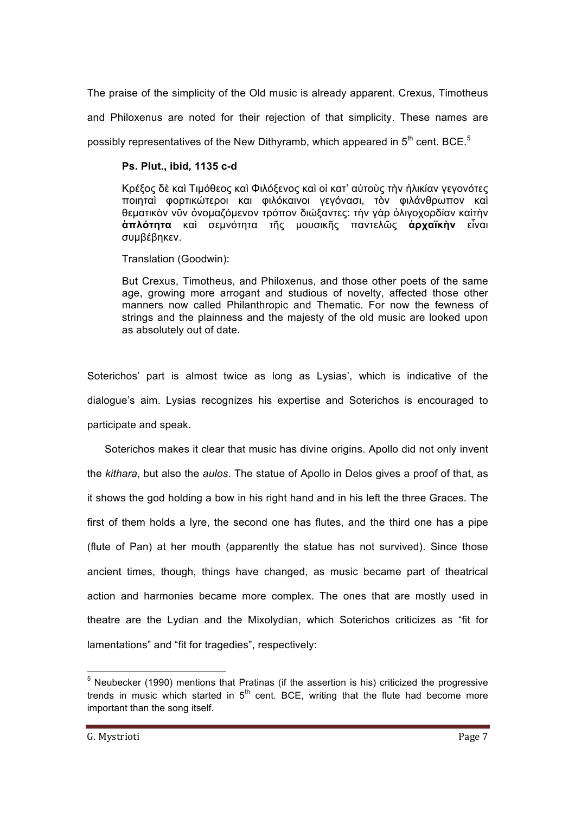The praise of the simplicity of the Old music is already apparent. Crexus, Timotheus and Philoxenus are noted for their rejection of that simplicity. These names are possibly representatives of the New Dithyramb, which appeared in  $5<sup>th</sup>$  cent. BCE.<sup>5</sup>

#### **Ps. Plut., ibid***,* **1135 c-d**

Κρέξος δὲ καὶ Τιµόθεος καὶ Φιλόξενος καὶ οἱ κατ' αὐτοὺς τὴν ἡλικίαν γεγονότες ποιηταὶ φορτικώτεροι και φιλόκαινοι γεγόνασι, τὸν φιλάνθρωπον καὶ θεµατικὸν νῦν ὀνοµαζόµενον τρόπον διώξαντες: τὴν γὰρ ὀλιγοχορδίαν καὶτὴν **ἁπλότητα** καὶ σεµνότητα τῆς µουσικῆς παντελῶς **ἀρχαϊκὴν** εἶναι συµβέβηκεν.

Translation (Goodwin):

But Crexus, Timotheus, and Philoxenus, and those other poets of the same age, growing more arrogant and studious of novelty, affected those other manners now called Philanthropic and Thematic. For now the fewness of strings and the plainness and the majesty of the old music are looked upon as absolutely out of date.

Soterichos' part is almost twice as long as Lysias', which is indicative of the dialogue's aim. Lysias recognizes his expertise and Soterichos is encouraged to participate and speak.

Soterichos makes it clear that music has divine origins. Apollo did not only invent the *kithara*, but also the *aulos*. The statue of Apollo in Delos gives a proof of that, as it shows the god holding a bow in his right hand and in his left the three Graces. The first of them holds a lyre, the second one has flutes, and the third one has a pipe (flute of Pan) at her mouth (apparently the statue has not survived). Since those ancient times, though, things have changed, as music became part of theatrical action and harmonies became more complex. The ones that are mostly used in theatre are the Lydian and the Mixolydian, which Soterichos criticizes as "fit for lamentations" and "fit for tragedies", respectively:

 $<sup>5</sup>$  Neubecker (1990) mentions that Pratinas (if the assertion is his) criticized the progressive</sup> trends in music which started in  $5<sup>th</sup>$  cent. BCE, writing that the flute had become more important than the song itself.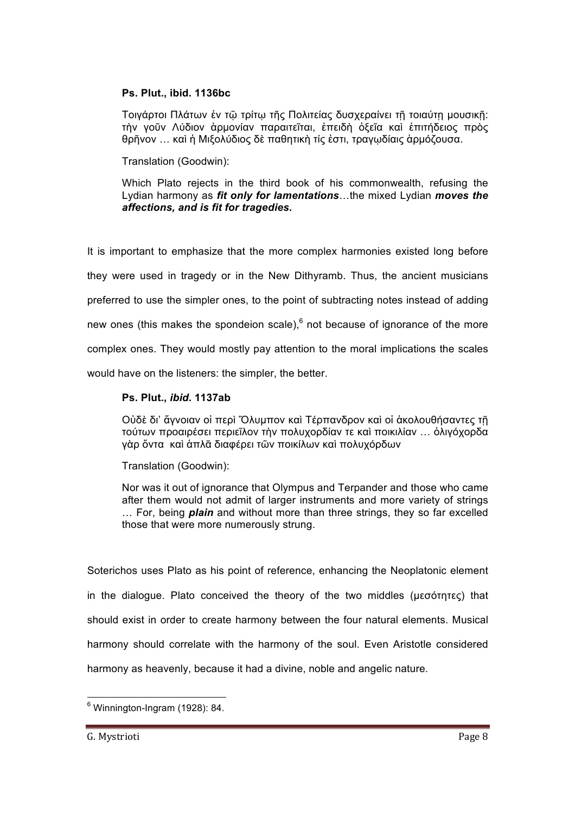#### **Ps. Plut., ibid. 1136bc**

Τοιγάρτοι Πλάτων ἐν τῶ τρίτω τῆς Πολιτείας δυσχεραίνει τῆ τοιαύτη μουσικῆ: τὴν γοῦν Λύδιον ἁρµονίαν παραιτεῖται, ἐπειδὴ ὀξεῖα καὶ ἐπιτήδειος πρὸς θρῆνον … καὶ ἡ Μιξολύδιος δὲ παθητικὴ τίς ἐστι, τραγῳδίαις ἁρµόζουσα.

Translation (Goodwin):

Which Plato rejects in the third book of his commonwealth, refusing the Lydian harmony as *fit only for lamentations*…the mixed Lydian *moves the affections, and is fit for tragedies.*

It is important to emphasize that the more complex harmonies existed long before they were used in tragedy or in the New Dithyramb. Thus, the ancient musicians preferred to use the simpler ones, to the point of subtracting notes instead of adding new ones (this makes the spondeion scale), $<sup>6</sup>$  not because of ignorance of the more</sup> complex ones. They would mostly pay attention to the moral implications the scales would have on the listeners: the simpler, the better.

#### **Ps. Plut.,** *ibid***. 1137ab**

Οὐδὲ δι' ἄγνοιαν οἱ περὶ Ὄλυµπον καὶ Τέρπανδρον καὶ οἱ ἀκολουθήσαντες τῇ τούτων προαιρέσει περιεῖλον τὴν πολυχορδίαν τε καὶ ποικιλίαν … ὀλιγόχορδα γὰρ ὄντα καὶ ἁπλᾶ διαφέρει τῶν ποικίλων καὶ πολυχόρδων

Translation (Goodwin):

Nor was it out of ignorance that Olympus and Terpander and those who came after them would not admit of larger instruments and more variety of strings … For, being *plain* and without more than three strings, they so far excelled those that were more numerously strung.

Soterichos uses Plato as his point of reference, enhancing the Neoplatonic element in the dialogue. Plato conceived the theory of the two middles (µεσότητες) that should exist in order to create harmony between the four natural elements. Musical harmony should correlate with the harmony of the soul. Even Aristotle considered harmony as heavenly, because it had a divine, noble and angelic nature.

 $6$  Winnington-Ingram (1928): 84.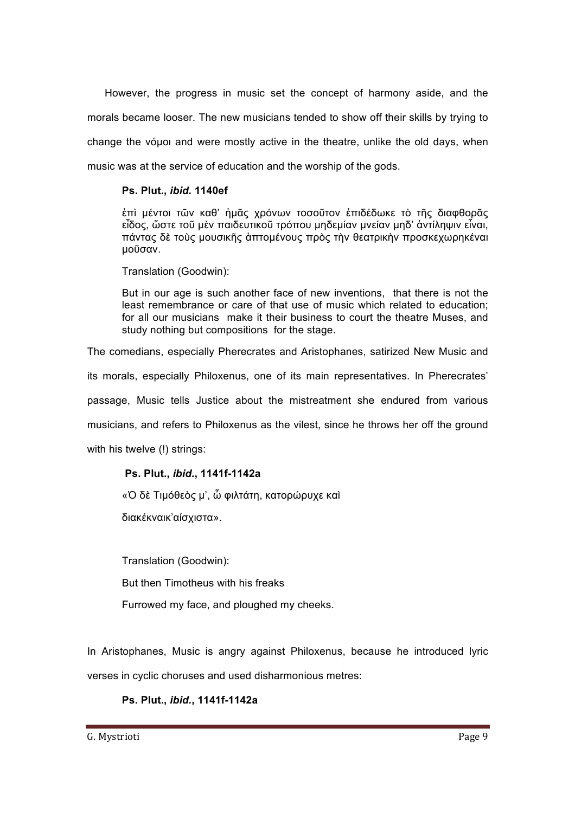However, the progress in music set the concept of harmony aside, and the morals became looser. The new musicians tended to show off their skills by trying to change the νόμοι and were mostly active in the theatre, unlike the old days, when music was at the service of education and the worship of the gods.

### **Ps. Plut.,** *ibid.* **1140ef**

ἐπὶ µέντοι τῶν καθ' ἡµᾶς χρόνων τoσοῦτον ἐπιδέδωκε τὸ τῆς διαφθορᾶς εἶδος, ὥστε τοῦ µὲν παιδευτικοῦ τρόπου µηδεµίαν µνείαν µηδ' ἀντίληψιν εἶναι, πάντας δὲ τοὺς µουσικῆς ἁπτοµένους πρὸς τὴν θεατρικὴν προσκεχωρηκέναι µοῦσαν.

Translation (Goodwin):

But in our age is such another face of new inventions, that there is not the least remembrance or care of that use of music which related to education; for all our musicians make it their business to court the theatre Muses, and study nothing but compositions for the stage.

The comedians, especially Pherecrates and Aristophanes, satirized New Music and

its morals, especially Philoxenus, one of its main representatives. In Pherecrates'

passage, Music tells Justice about the mistreatment she endured from various

musicians, and refers to Philoxenus as the vilest, since he throws her off the ground

with his twelve (!) strings:

#### **Ps. Plut.,** *ibid.***, 1141f-1142a**

«Ὀ δὲ Τιµόθεὸς µ', ὦ φιλτάτη, κατορώρυχε καὶ

διακέκναικ'αίσχιστα».

Translation (Goodwin):

But then Timotheus with his freaks

Furrowed my face, and ploughed my cheeks.

In Aristophanes, Music is angry against Philoxenus, because he introduced lyric verses in cyclic choruses and used disharmonious metres:

**Ps. Plut.,** *ibid.***, 1141f-1142a**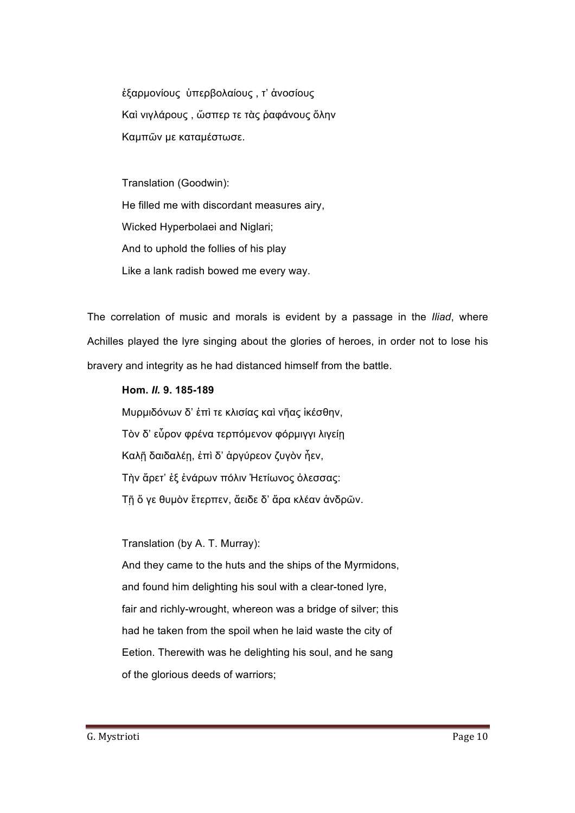ἐξαρµονίους ὑπερβολαίους , τ' ἀνοσίους Καὶ νιγλάρους , ὥσπερ τε τὰς ῥαφάνους ὅλην Καµπῶν µε καταµέστωσε.

Translation (Goodwin): He filled me with discordant measures airy, Wicked Hyperbolaei and Niglari; And to uphold the follies of his play Like a lank radish bowed me every way.

The correlation of music and morals is evident by a passage in the *Iliad*, where Achilles played the lyre singing about the glories of heroes, in order not to lose his bravery and integrity as he had distanced himself from the battle.

**Hom.** *Il.* **9. 185-189** Μυρµιδόνων δ' ἐπὶ τε κλισίας καὶ νῆας ἱκέσθην, Τὸν δ' εὗρον φρένα τερπόµενον φόρµιγγι λιγείῃ Καλῇ δαιδαλέῃ, ἐπὶ δ' ἀργύρεον ζυγὸν ἦεν, Τὴν ἄρετ' ἐξ ἐνάρων πόλιν Ἠετίωνος ὀλεσσας: Τῇ ὅ γε θυµὸν ἔτερπεν, ἄειδε δ' ἄρα κλέαν ἀνδρῶν.

Translation (by A. T. Murray):

And they came to the huts and the ships of the Myrmidons, and found him delighting his soul with a clear-toned lyre, fair and richly-wrought, whereon was a bridge of silver; this had he taken from the spoil when he laid waste the city of Eetion. Therewith was he delighting his soul, and he sang of the glorious deeds of warriors;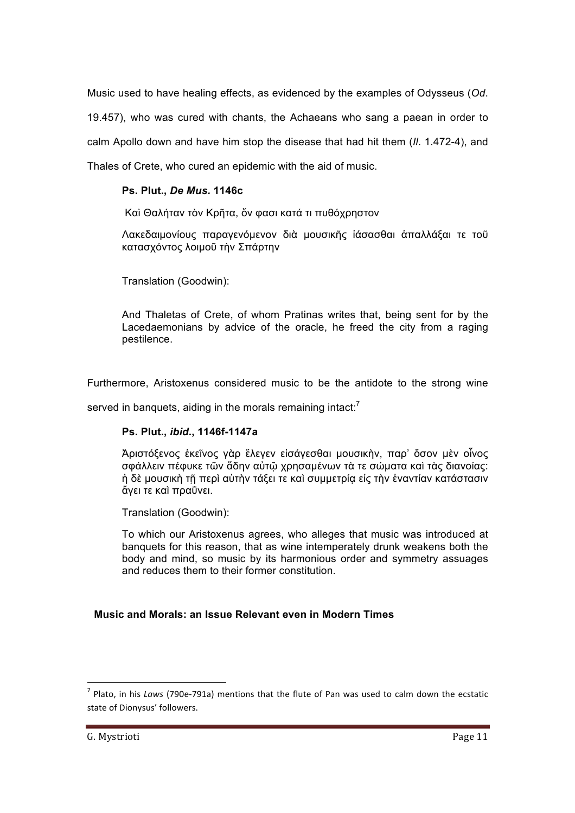Music used to have healing effects, as evidenced by the examples of Odysseus (*Od*. 19.457), who was cured with chants, the Achaeans who sang a paean in order to calm Apollo down and have him stop the disease that had hit them (*Il*. 1.472-4), and Thales of Crete, who cured an epidemic with the aid of music.

# **Ps. Plut.,** *De Mus.* **1146c**

Καὶ Θαλήταν τὸν Κρῆτα, ὅν φασι κατά τι πυθόχρηστον

Λακεδαιµονίους παραγενόµενον διὰ µουσικῆς ἰάσασθαι ἀπαλλάξαι τε τοῦ κατασχόντος λοιµοῦ τὴν Σπάρτην

Translation (Goodwin):

And Thaletas of Crete, of whom Pratinas writes that, being sent for by the Lacedaemonians by advice of the oracle, he freed the city from a raging pestilence.

Furthermore, Aristoxenus considered music to be the antidote to the strong wine

served in banquets, aiding in the morals remaining intact: $<sup>7</sup>$ </sup>

#### **Ps. Plut.,** *ibid***., 1146f-1147a**

Ἀριστόξενος ἐκεῖνος γὰρ ἔλεγεν εἰσάγεσθαι µουσικὴν, παρ' ὅσον µὲν οἶνος σφάλλειν πέφυκε τῶν ἅδην αὐτῷ χρησαµένων τὰ τε σώµατα καὶ τὰς διανοίας: ή δὲ μουσικὴ τῇ περὶ αὑτὴν τάξει τε καὶ συμμετρία εἰς τὴν ἐναντίαν κατάστασιν ἄγει τε καὶ πραΰνει.

Translation (Goodwin):

To which our Aristoxenus agrees, who alleges that music was introduced at banquets for this reason, that as wine intemperately drunk weakens both the body and mind, so music by its harmonious order and symmetry assuages and reduces them to their former constitution.

#### **Music and Morals: an Issue Relevant even in Modern Times**

<u> 1989 - Johann Stein, mars et al. 1989 - Anna ann an t-Anna ann an t-Anna ann an t-Anna ann an t-Anna ann an t-</u>

 $<sup>7</sup>$  Plato, in his *Laws* (790e-791a) mentions that the flute of Pan was used to calm down the ecstatic</sup> state of Dionysus' followers.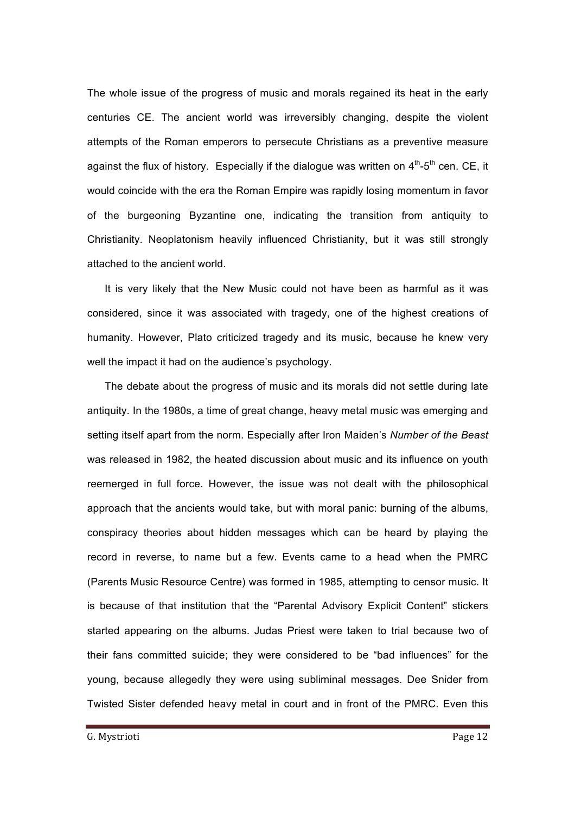The whole issue of the progress of music and morals regained its heat in the early centuries CE. The ancient world was irreversibly changing, despite the violent attempts of the Roman emperors to persecute Christians as a preventive measure against the flux of history. Especially if the dialogue was written on  $4<sup>th</sup>$ -5<sup>th</sup> cen. CE, it would coincide with the era the Roman Empire was rapidly losing momentum in favor of the burgeoning Byzantine one, indicating the transition from antiquity to Christianity. Neoplatonism heavily influenced Christianity, but it was still strongly attached to the ancient world.

It is very likely that the New Music could not have been as harmful as it was considered, since it was associated with tragedy, one of the highest creations of humanity. However, Plato criticized tragedy and its music, because he knew very well the impact it had on the audience's psychology.

The debate about the progress of music and its morals did not settle during late antiquity. In the 1980s, a time of great change, heavy metal music was emerging and setting itself apart from the norm. Especially after Iron Maiden's *Number of the Beast* was released in 1982, the heated discussion about music and its influence on youth reemerged in full force. However, the issue was not dealt with the philosophical approach that the ancients would take, but with moral panic: burning of the albums, conspiracy theories about hidden messages which can be heard by playing the record in reverse, to name but a few. Events came to a head when the PMRC (Parents Music Resource Centre) was formed in 1985, attempting to censor music. It is because of that institution that the "Parental Advisory Explicit Content" stickers started appearing on the albums. Judas Priest were taken to trial because two of their fans committed suicide; they were considered to be "bad influences" for the young, because allegedly they were using subliminal messages. Dee Snider from Twisted Sister defended heavy metal in court and in front of the PMRC. Even this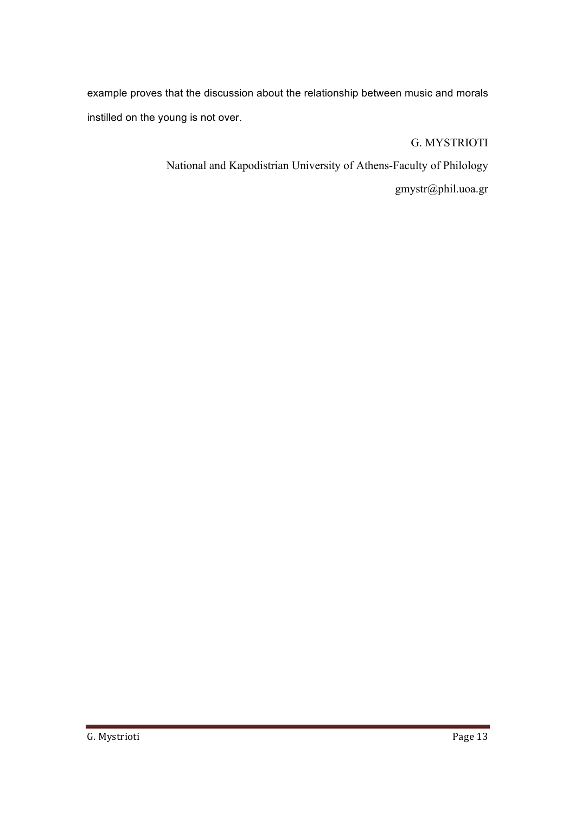example proves that the discussion about the relationship between music and morals instilled on the young is not over.

G. MYSTRIOTI

National and Kapodistrian University of Athens-Faculty of Philology

gmystr@phil.uoa.gr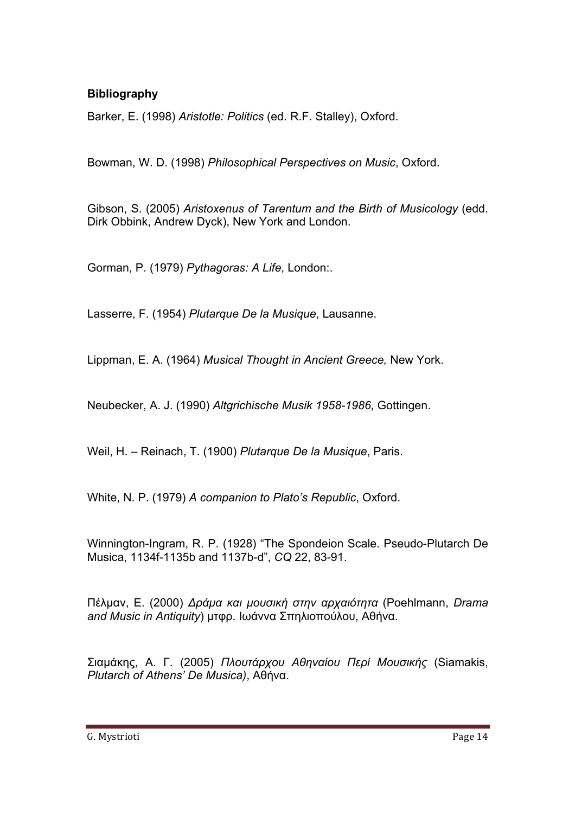# **Bibliography**

Barker, E. (1998) *Aristotle: Politics* (ed. R.F. Stalley), Oxford.

Bowman, W. D. (1998) *Philosophical Perspectives on Music*, Oxford.

Gibson, S. (2005) *Aristoxenus of Tarentum and the Birth of Musicology* (edd. Dirk Obbink, Andrew Dyck), New York and London.

Gorman, P. (1979) *Pythagoras: A Life*, London:.

Lasserre, F. (1954) *Plutarque De la Musique*, Lausanne.

Lippman, E. A. (1964) *Musical Thought in Ancient Greece,* New York.

Neubecker, A. J. (1990) *Altgrichische Musik 1958-1986*, Gottingen.

Weil, H. – Reinach, T. (1900) *Plutarque De la Musique*, Paris.

White, N. P. (1979) *A companion to Plato's Republic*, Oxford.

Winnington-Ingram, R. P. (1928) "The Spondeion Scale. Pseudo-Plutarch De Musica, 1134f-1135b and 1137b-d", *CQ* 22, 83-91.

Πέλµαν, Ε. (2000) *Δράµα και µουσική στην αρχαιότητα* (Poehlmann, *Drama and Music in Antiquity*) µτφρ. Ιωάννα Σπηλιοπούλου, Αθήνα.

Σιαµάκης, Α. Γ. (2005) *Πλουτάρχου Αθηναίου Περί Μουσικής* (Siamakis, *Plutarch of Athens' De Musica)*, Αθήνα.